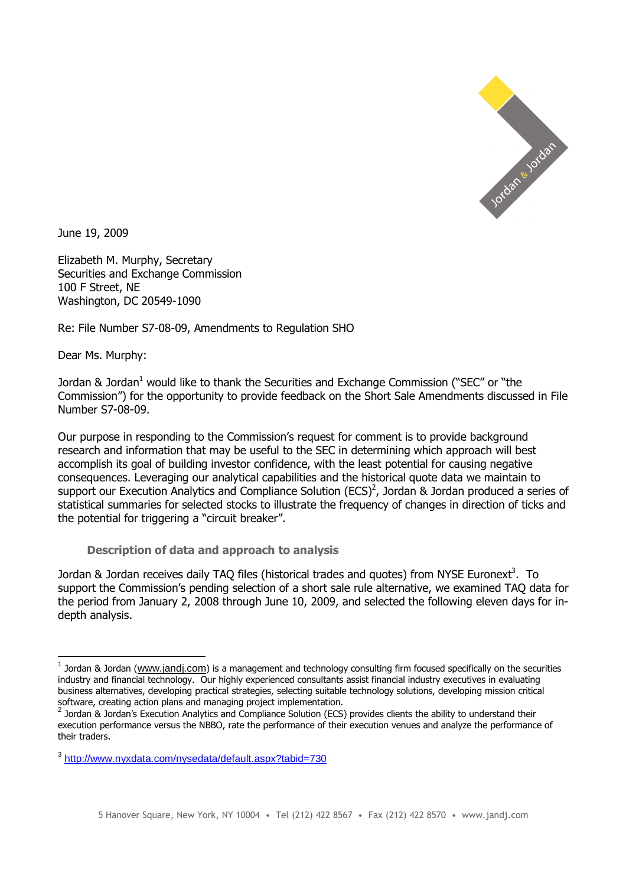

June 19, 2009

Elizabeth M. Murphy, Secretary Securities and Exchange Commission 100 F Street, NE Washington, DC 20549-1090

Re: File Number S7-08-09, Amendments to Regulation SHO

Dear Ms. Murphy:

Jordan & Jordan<sup>1</sup> would like to thank the Securities and Exchange Commission ("SEC" or "the Commission") for the opportunity to provide feedback on the Short Sale Amendments discussed in File Number S7-08-09.

Our purpose in responding to the Commission's request for comment is to provide background research and information that may be useful to the SEC in determining which approach will best accomplish its goal of building investor confidence, with the least potential for causing negative consequences. Leveraging our analytical capabilities and the historical quote data we maintain to support our Execution Analytics and Compliance Solution (ECS)<sup>2</sup>, Jordan & Jordan produced a series of statistical summaries for selected stocks to illustrate the frequency of changes in direction of ticks and the potential for triggering a "circuit breaker".

**Description of data and approach to analysis** 

Jordan & Jordan receives daily TAQ files (historical trades and quotes) from NYSE Euronext<sup>3</sup>. To support the Commission's pending selection of a short sale rule alternative, we examined TAQ data for the period from January 2, 2008 through June 10, 2009, and selected the following eleven days for indepth analysis.

 1 Jordan & Jordan (www.jandj.com) is a management and technology consulting firm focused specifically on the securities industry and financial technology. Our highly experienced consultants assist financial industry executives in evaluating business alternatives, developing practical strategies, selecting suitable technology solutions, developing mission critical software, creating action plans and managing project implementation.

<sup>2</sup> Jordan & Jordan's Execution Analytics and Compliance Solution (ECS) provides clients the ability to understand their execution performance versus the NBBO, rate the performance of their execution venues and analyze the performance of their traders.

<sup>&</sup>lt;sup>3</sup>http://www.nyxdata.com/nysedata/default.aspx?tabid=730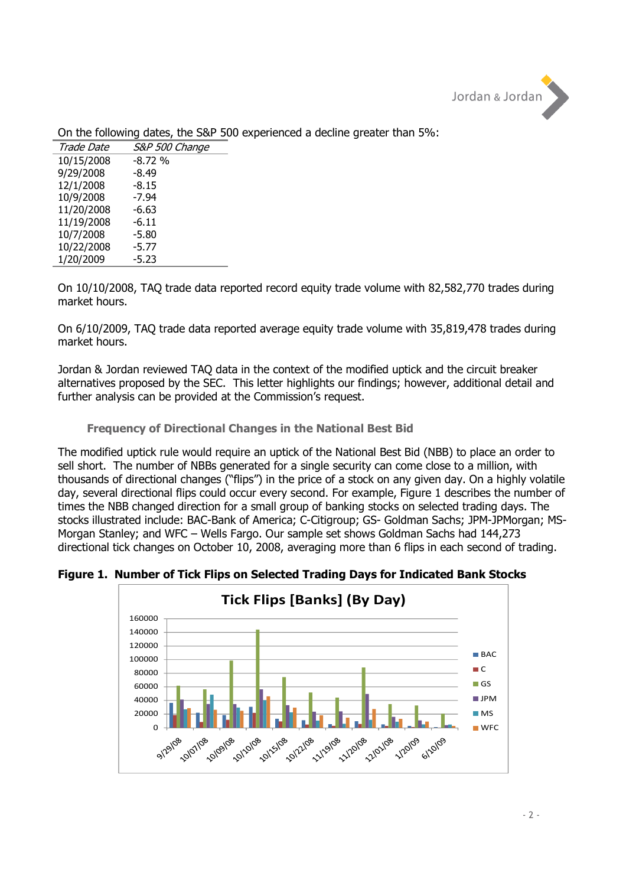

| <i>Trade Date</i> | S&P 500 Change |
|-------------------|----------------|
| 10/15/2008        | $-8.72%$       |
| 9/29/2008         | $-8.49$        |
| 12/1/2008         | $-8.15$        |
| 10/9/2008         | -7.94          |
| 11/20/2008        | -6.63          |
| 11/19/2008        | $-6.11$        |
| 10/7/2008         | -5.80          |
| 10/22/2008        | $-5.77$        |
| 1/20/2009         | -5.23          |

On the following dates, the S&P 500 experienced a decline greater than 5%:

On 10/10/2008, TAQ trade data reported record equity trade volume with 82,582,770 trades during market hours.

On 6/10/2009, TAQ trade data reported average equity trade volume with 35,819,478 trades during market hours.

Jordan & Jordan reviewed TAQ data in the context of the modified uptick and the circuit breaker alternatives proposed by the SEC. This letter highlights our findings; however, additional detail and further analysis can be provided at the Commission's request.

# **Frequency of Directional Changes in the National Best Bid**

The modified uptick rule would require an uptick of the National Best Bid (NBB) to place an order to sell short. The number of NBBs generated for a single security can come close to a million, with thousands of directional changes ("flips") in the price of a stock on any given day. On a highly volatile day, several directional flips could occur every second. For example, Figure 1 describes the number of times the NBB changed direction for a small group of banking stocks on selected trading days. The stocks illustrated include: BAC-Bank of America; C-Citigroup; GS- Goldman Sachs; JPM-JPMorgan; MS-Morgan Stanley; and WFC – Wells Fargo. Our sample set shows Goldman Sachs had 144,273 directional tick changes on October 10, 2008, averaging more than 6 flips in each second of trading.

**Figure 1. Number of Tick Flips on Selected Trading Days for Indicated Bank Stocks** 

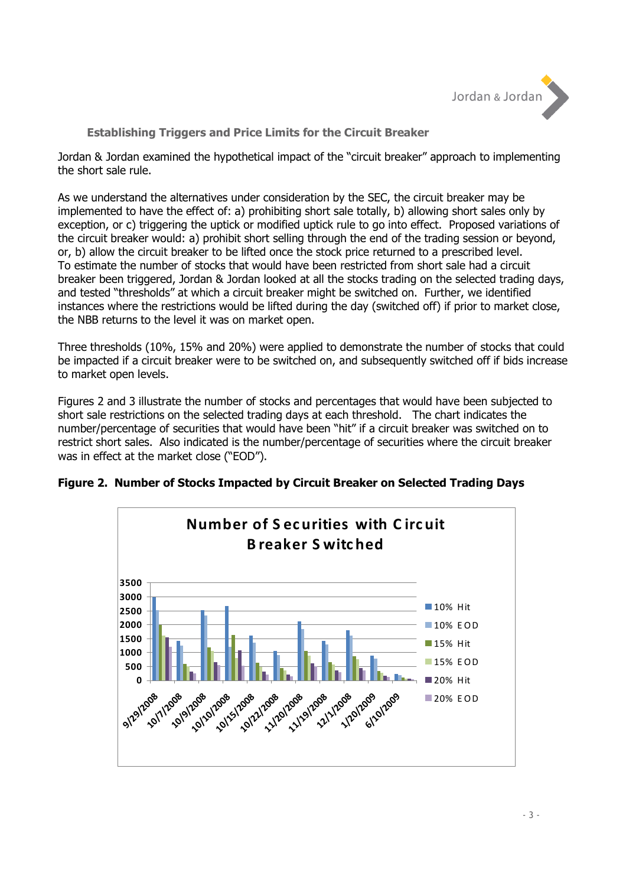

# **Establishing Triggers and Price Limits for the Circuit Breaker**

Jordan & Jordan examined the hypothetical impact of the "circuit breaker" approach to implementing the short sale rule.

As we understand the alternatives under consideration by the SEC, the circuit breaker may be implemented to have the effect of: a) prohibiting short sale totally, b) allowing short sales only by exception, or c) triggering the uptick or modified uptick rule to go into effect. Proposed variations of the circuit breaker would: a) prohibit short selling through the end of the trading session or beyond, or, b) allow the circuit breaker to be lifted once the stock price returned to a prescribed level. To estimate the number of stocks that would have been restricted from short sale had a circuit breaker been triggered, Jordan & Jordan looked at all the stocks trading on the selected trading days, and tested "thresholds" at which a circuit breaker might be switched on. Further, we identified instances where the restrictions would be lifted during the day (switched off) if prior to market close, the NBB returns to the level it was on market open.

Three thresholds (10%, 15% and 20%) were applied to demonstrate the number of stocks that could be impacted if a circuit breaker were to be switched on, and subsequently switched off if bids increase to market open levels.

Figures 2 and 3 illustrate the number of stocks and percentages that would have been subjected to short sale restrictions on the selected trading days at each threshold. The chart indicates the number/percentage of securities that would have been "hit" if a circuit breaker was switched on to restrict short sales. Also indicated is the number/percentage of securities where the circuit breaker was in effect at the market close ("EOD").



# **Figure 2. Number of Stocks Impacted by Circuit Breaker on Selected Trading Days**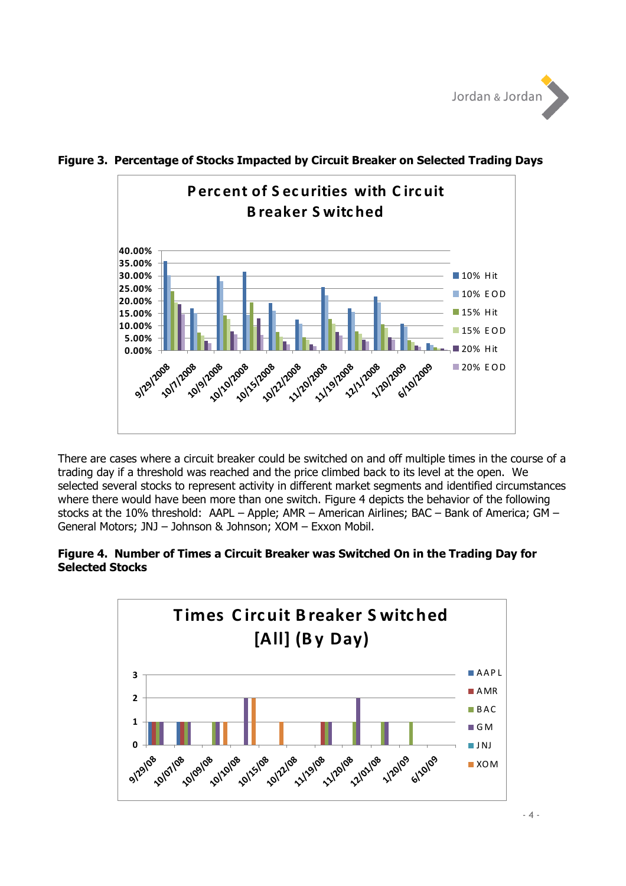



# **Figure 3. Percentage of Stocks Impacted by Circuit Breaker on Selected Trading Days**

There are cases where a circuit breaker could be switched on and off multiple times in the course of a trading day if a threshold was reached and the price climbed back to its level at the open. We selected several stocks to represent activity in different market segments and identified circumstances where there would have been more than one switch. Figure 4 depicts the behavior of the following stocks at the 10% threshold: AAPL – Apple; AMR – American Airlines; BAC – Bank of America; GM – General Motors; JNJ – Johnson & Johnson; XOM – Exxon Mobil.

### **Figure 4. Number of Times a Circuit Breaker was Switched On in the Trading Day for Selected Stocks**

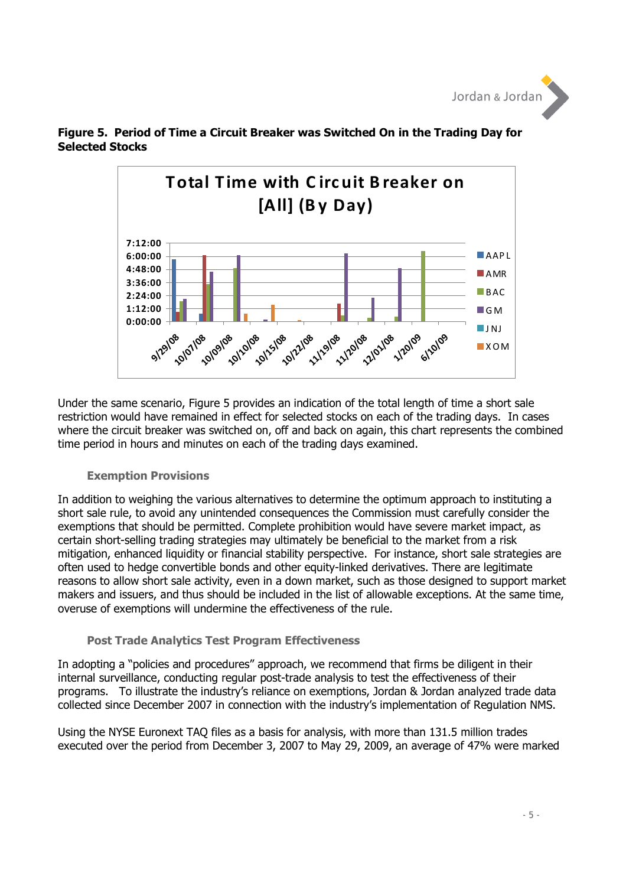



**Figure 5. Period of Time a Circuit Breaker was Switched On in the Trading Day for Selected Stocks** 

Under the same scenario, Figure 5 provides an indication of the total length of time a short sale restriction would have remained in effect for selected stocks on each of the trading days. In cases where the circuit breaker was switched on, off and back on again, this chart represents the combined time period in hours and minutes on each of the trading days examined.

#### **Exemption Provisions**

In addition to weighing the various alternatives to determine the optimum approach to instituting a short sale rule, to avoid any unintended consequences the Commission must carefully consider the exemptions that should be permitted. Complete prohibition would have severe market impact, as certain short-selling trading strategies may ultimately be beneficial to the market from a risk mitigation, enhanced liquidity or financial stability perspective. For instance, short sale strategies are often used to hedge convertible bonds and other equity-linked derivatives. There are legitimate reasons to allow short sale activity, even in a down market, such as those designed to support market makers and issuers, and thus should be included in the list of allowable exceptions. At the same time, overuse of exemptions will undermine the effectiveness of the rule.

# **Post Trade Analytics Test Program Effectiveness**

In adopting a "policies and procedures" approach, we recommend that firms be diligent in their internal surveillance, conducting regular post-trade analysis to test the effectiveness of their programs. To illustrate the industry's reliance on exemptions, Jordan & Jordan analyzed trade data collected since December 2007 in connection with the industry's implementation of Regulation NMS.

Using the NYSE Euronext TAQ files as a basis for analysis, with more than 131.5 million trades executed over the period from December 3, 2007 to May 29, 2009, an average of 47% were marked